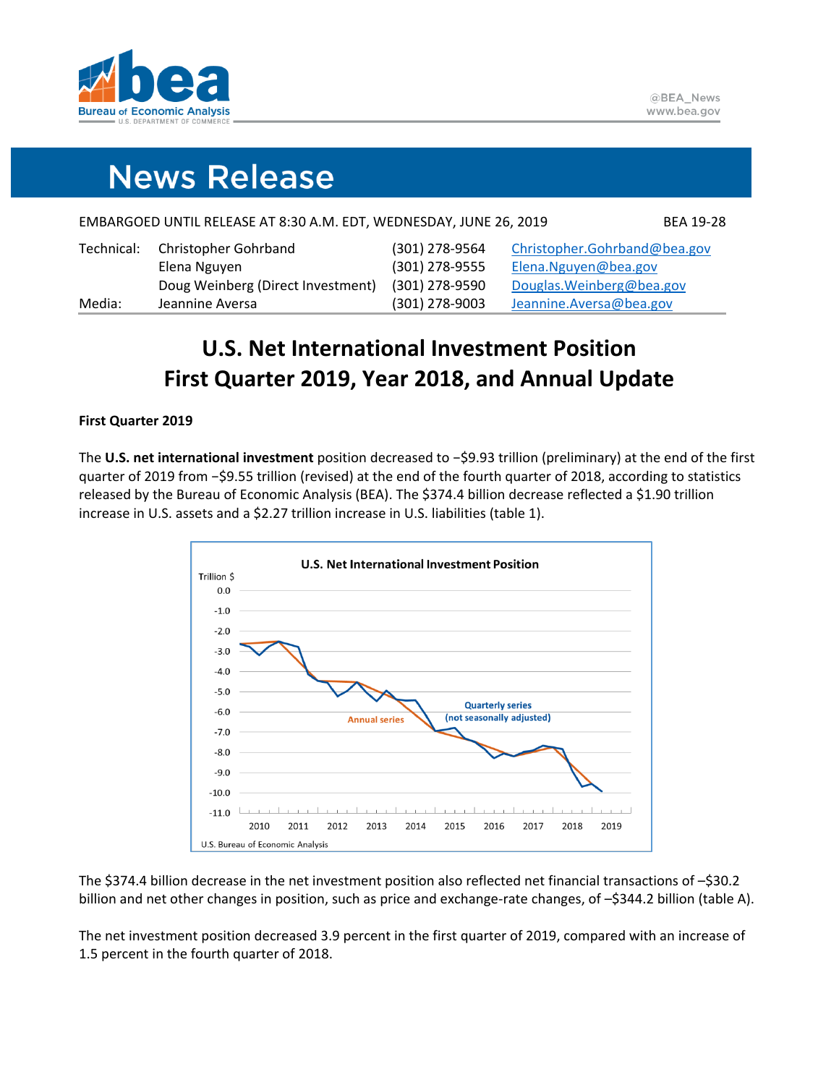

# **News Release**

|            | EMBARGOED UNTIL RELEASE AT 8:30 A.M. EDT, WEDNESDAY, JUNE 26, 2019 |                  |                              | <b>BEA 19-28</b> |
|------------|--------------------------------------------------------------------|------------------|------------------------------|------------------|
| Technical: | <b>Christopher Gohrband</b>                                        | (301) 278-9564   | Christopher.Gohrband@bea.gov |                  |
|            | Elena Nguyen                                                       | $(301)$ 278-9555 | Elena.Nguyen@bea.gov         |                  |
|            | Doug Weinberg (Direct Investment)                                  | (301) 278-9590   | Douglas. Weinberg@bea.gov    |                  |
| Media:     | Jeannine Aversa                                                    | (301) 278-9003   | Jeannine.Aversa@bea.gov      |                  |

# **U.S. Net International Investment Position First Quarter 2019, Year 2018, and Annual Update**

# **First Quarter 2019**

The U.S. net international investment position decreased to -\$9.93 trillion (preliminary) at the end of the first quarter of 2019 from −\$9.55 trillion (revised) at the end of the fourth quarter of 2018, according to statistics released by the Bureau of Economic Analysis (BEA). The \$374.4 billion decrease reflected a \$1.90 trillion increase in U.S. assets and a \$2.27 trillion increase in U.S. liabilities (table 1).



The \$374.4 billion decrease in the net investment position also reflected net financial transactions of –\$30.2 billion and net other changes in position, such as price and exchange-rate changes, of -\$344.2 billion (table A).

The net investment position decreased 3.9 percent in the first quarter of 2019, compared with an increase of 1.5 percent in the fourth quarter of 2018.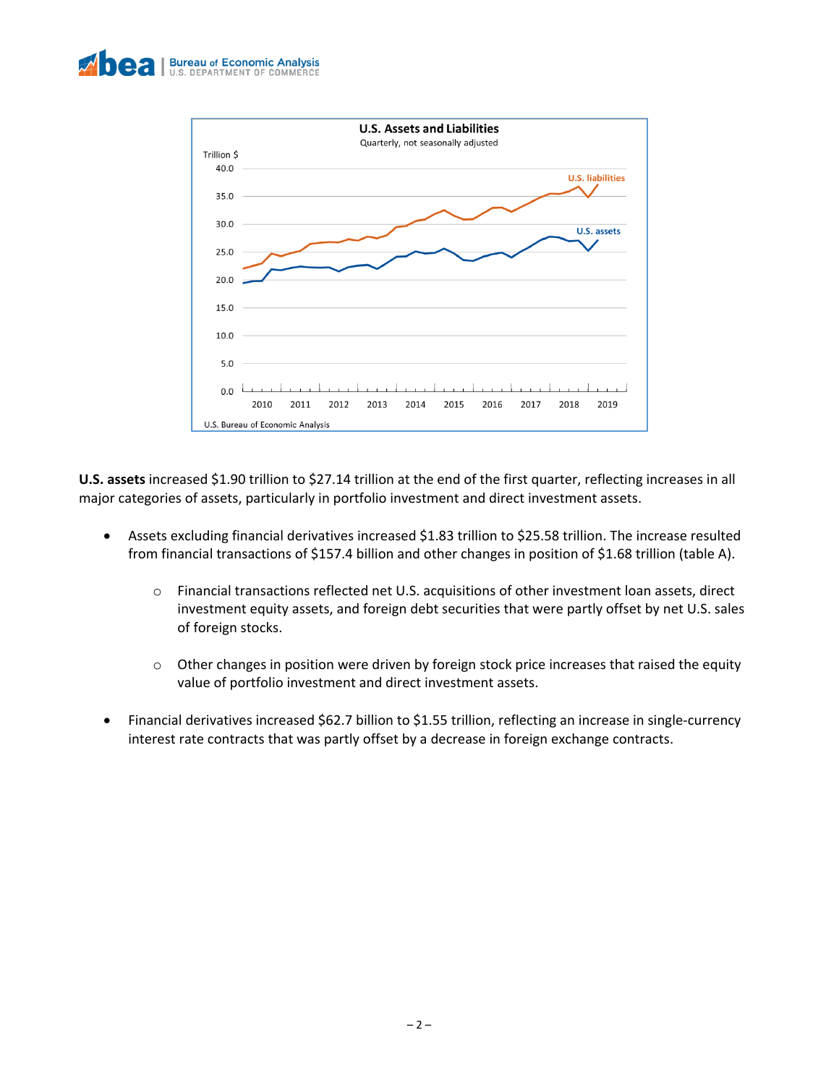



**U.S. assets** increased \$1.90 trillion to \$27.14 trillion at the end of the first quarter, reflecting increases in all major categories of assets, particularly in portfolio investment and direct investment assets.

- Assets excluding financial derivatives increased \$1.83 trillion to \$25.58 trillion. The increase resulted from financial transactions of \$157.4 billion and other changes in position of \$1.68 trillion (table A).
	- o Financial transactions reflected net U.S. acquisitions of other investment loan assets, direct investment equity assets, and foreign debt securities that were partly offset by net U.S. sales of foreign stocks.
	- $\circ$  Other changes in position were driven by foreign stock price increases that raised the equity value of portfolio investment and direct investment assets.
- Financial derivatives increased \$62.7 billion to \$1.55 trillion, reflecting an increase in single-currency interest rate contracts that was partly offset by a decrease in foreign exchange contracts.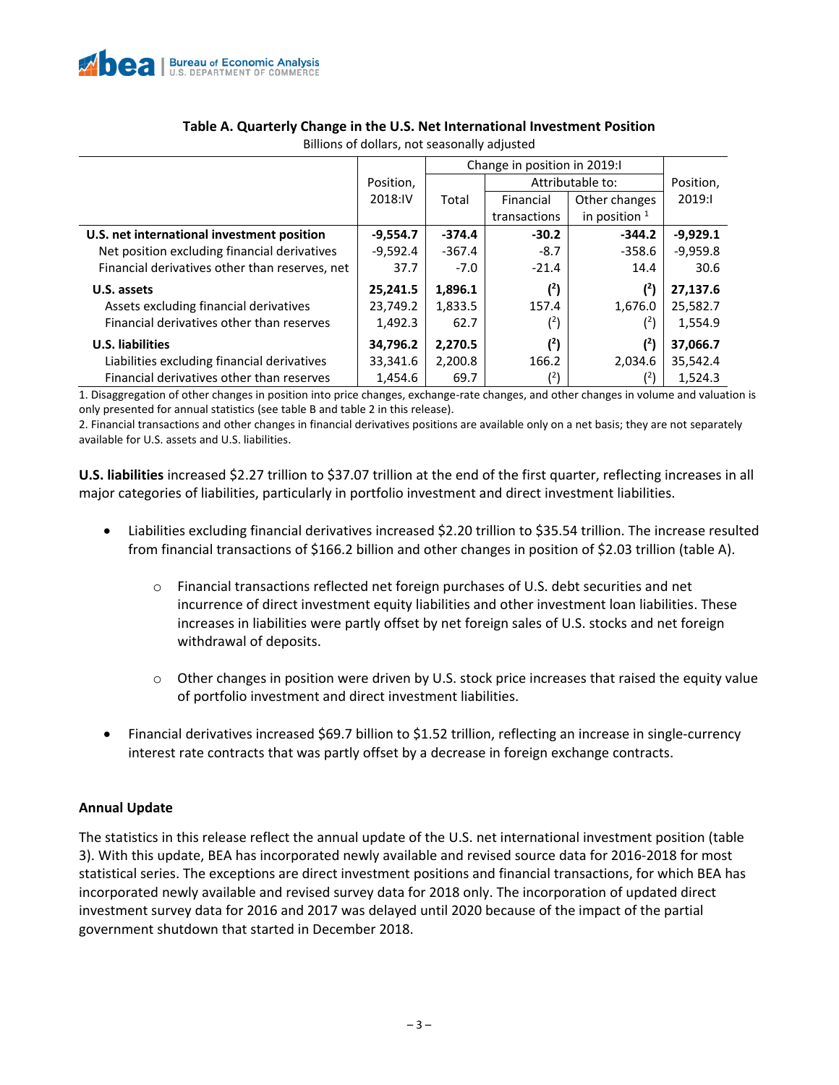

|                                                |            | Change in position in 2019:I |                  |                 |            |  |
|------------------------------------------------|------------|------------------------------|------------------|-----------------|------------|--|
|                                                | Position,  |                              | Attributable to: | Position,       |            |  |
|                                                | 2018:IV    | Total                        | Financial        | Other changes   | 2019:1     |  |
|                                                |            |                              | transactions     | in position $1$ |            |  |
| U.S. net international investment position     | $-9,554.7$ | $-374.4$                     | $-30.2$          | $-344.2$        | $-9,929.1$ |  |
| Net position excluding financial derivatives   | $-9,592.4$ | $-367.4$                     | $-8.7$           | $-358.6$        | $-9.959.8$ |  |
| Financial derivatives other than reserves, net | 37.7       | $-7.0$                       | $-21.4$          | 14.4            | 30.6       |  |
| U.S. assets                                    | 25,241.5   | 1,896.1                      | (2)              | (2)             | 27,137.6   |  |
| Assets excluding financial derivatives         | 23,749.2   | 1,833.5                      | 157.4            | 1,676.0         | 25,582.7   |  |
| Financial derivatives other than reserves      | 1,492.3    | 62.7                         | (2)              | (2)             | 1,554.9    |  |
| <b>U.S. liabilities</b>                        | 34,796.2   | 2,270.5                      | (2)              | (2)             | 37,066.7   |  |
| Liabilities excluding financial derivatives    | 33,341.6   | 2,200.8                      | 166.2            | 2,034.6         | 35,542.4   |  |
| Financial derivatives other than reserves      | 1,454.6    | 69.7                         | (2)              | (۷              | 1,524.3    |  |

### **Table A. Quarterly Change in the U.S. Net International Investment Position** Billions of dollars, not seasonally adjusted

1. Disaggregation of other changes in position into price changes, exchange-rate changes, and other changes in volume and valuation is only presented for annual statistics (see table B and table 2 in this release).

2. Financial transactions and other changes in financial derivatives positions are available only on a net basis; they are not separately available for U.S. assets and U.S. liabilities.

**U.S. liabilities** increased \$2.27 trillion to \$37.07 trillion at the end of the first quarter, reflecting increases in all major categories of liabilities, particularly in portfolio investment and direct investment liabilities.

- Liabilities excluding financial derivatives increased \$2.20 trillion to \$35.54 trillion. The increase resulted from financial transactions of \$166.2 billion and other changes in position of \$2.03 trillion (table A).
	- o Financial transactions reflected net foreign purchases of U.S. debt securities and net incurrence of direct investment equity liabilities and other investment loan liabilities. These increases in liabilities were partly offset by net foreign sales of U.S. stocks and net foreign withdrawal of deposits.
	- o Other changes in position were driven by U.S. stock price increases that raised the equity value of portfolio investment and direct investment liabilities.
- Financial derivatives increased \$69.7 billion to \$1.52 trillion, reflecting an increase in single-currency interest rate contracts that was partly offset by a decrease in foreign exchange contracts.

# **Annual Update**

The statistics in this release reflect the annual update of the U.S. net international investment position (table 3). With this update, BEA has incorporated newly available and revised source data for 2016-2018 for most statistical series. The exceptions are direct investment positions and financial transactions, for which BEA has incorporated newly available and revised survey data for 2018 only. The incorporation of updated direct investment survey data for 2016 and 2017 was delayed until 2020 because of the impact of the partial government shutdown that started in December 2018.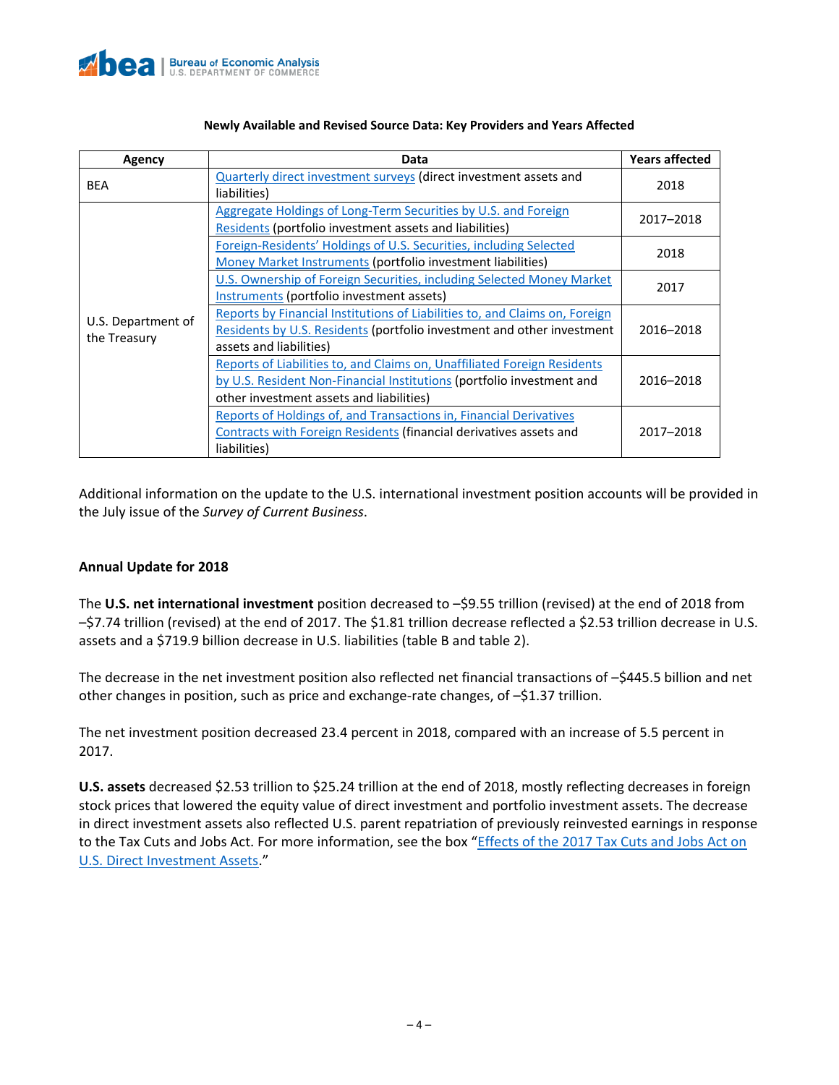

| Agency                             | Data                                                                                                                                                                                          | <b>Years affected</b> |
|------------------------------------|-----------------------------------------------------------------------------------------------------------------------------------------------------------------------------------------------|-----------------------|
| <b>BEA</b>                         | Quarterly direct investment surveys (direct investment assets and<br>liabilities)                                                                                                             | 2018                  |
|                                    | Aggregate Holdings of Long-Term Securities by U.S. and Foreign<br>Residents (portfolio investment assets and liabilities)                                                                     | 2017-2018             |
|                                    | Foreign-Residents' Holdings of U.S. Securities, including Selected<br>Money Market Instruments (portfolio investment liabilities)                                                             | 2018                  |
|                                    | U.S. Ownership of Foreign Securities, including Selected Money Market<br>Instruments (portfolio investment assets)                                                                            | 2017                  |
| U.S. Department of<br>the Treasury | Reports by Financial Institutions of Liabilities to, and Claims on, Foreign<br>Residents by U.S. Residents (portfolio investment and other investment<br>assets and liabilities)              | 2016-2018             |
|                                    | Reports of Liabilities to, and Claims on, Unaffiliated Foreign Residents<br>by U.S. Resident Non-Financial Institutions (portfolio investment and<br>other investment assets and liabilities) | 2016-2018             |
|                                    | Reports of Holdings of, and Transactions in, Financial Derivatives<br>Contracts with Foreign Residents (financial derivatives assets and<br>liabilities)                                      | 2017-2018             |

Additional information on the update to the U.S. international investment position accounts will be provided in the July issue of the *Survey of Current Business*.

# **Annual Update for 2018**

The **U.S. net international investment** position decreased to –\$9.55 trillion (revised) at the end of 2018 from –\$7.74 trillion (revised) at the end of 2017. The \$1.81 trillion decrease reflected a \$2.53 trillion decrease in U.S. assets and a \$719.9 billion decrease in U.S. liabilities (table B and table 2).

The decrease in the net investment position also reflected net financial transactions of –\$445.5 billion and net other changes in position, such as price and exchange-rate changes, of –\$1.37 trillion.

The net investment position decreased 23.4 percent in 2018, compared with an increase of 5.5 percent in 2017.

**U.S. assets** decreased \$2.53 trillion to \$25.24 trillion at the end of 2018, mostly reflecting decreases in foreign stock prices that lowered the equity value of direct investment and portfolio investment assets. The decrease in direct investment assets also reflected U.S. parent repatriation of previously reinvested earnings in response to the Tax Cuts and Jobs Act. For more information, see the box "[Effects of the 2017 Tax Cuts and Jobs Act on](#page-5-0)  [U.S. Direct Investment Assets](#page-5-0)."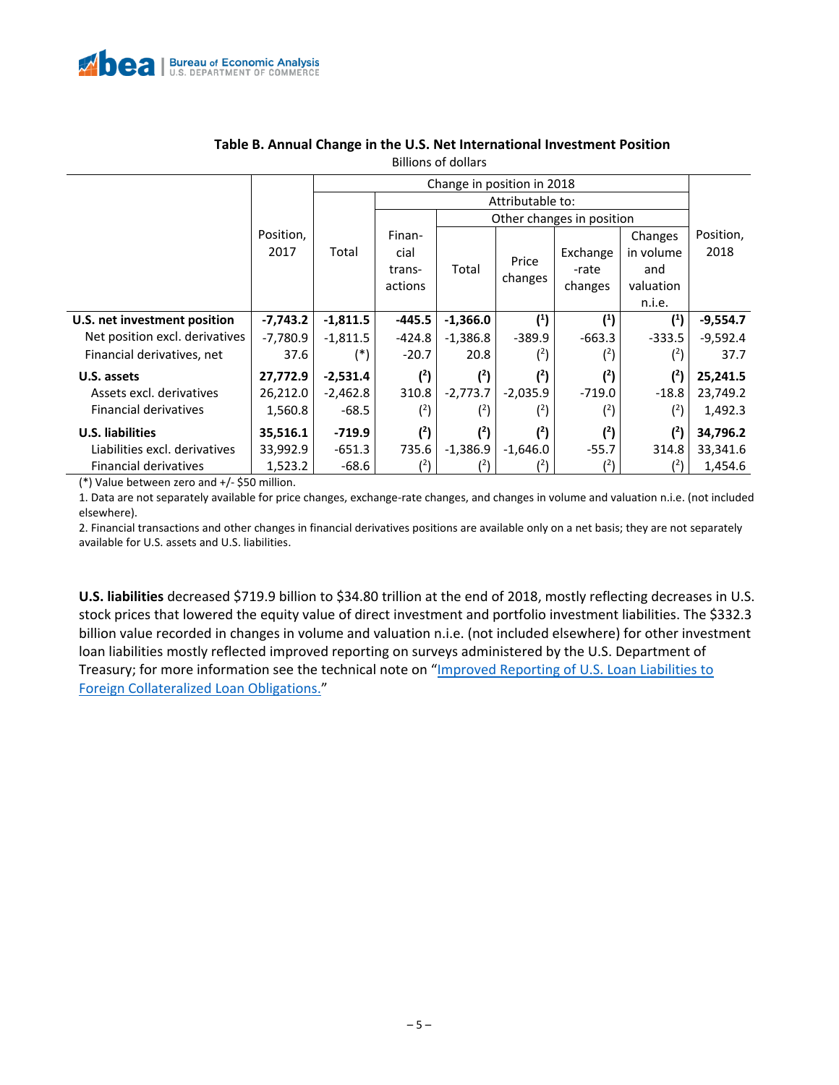

|                                |            | Change in position in 2018 |          |            |                           |          |           |            |  |  |  |
|--------------------------------|------------|----------------------------|----------|------------|---------------------------|----------|-----------|------------|--|--|--|
|                                |            |                            |          |            |                           |          |           |            |  |  |  |
|                                |            |                            |          |            | Other changes in position |          |           |            |  |  |  |
|                                | Position,  |                            | Finan-   |            |                           |          | Changes   | Position,  |  |  |  |
|                                | 2017       | Total                      | cial     |            | Price<br>changes          | Exchange | in volume | 2018       |  |  |  |
|                                |            |                            | trans-   | Total      |                           | -rate    | and       |            |  |  |  |
|                                |            |                            | actions  |            |                           | changes  | valuation |            |  |  |  |
|                                |            |                            |          |            |                           |          | n.i.e.    |            |  |  |  |
| U.S. net investment position   | -7,743.2   | $-1,811.5$                 | $-445.5$ | $-1,366.0$ | $\binom{1}{ }$            | (1)      | $(^{1})$  | $-9,554.7$ |  |  |  |
| Net position excl. derivatives | $-7,780.9$ | $-1,811.5$                 | $-424.8$ | $-1,386.8$ | $-389.9$                  | $-663.3$ | $-333.5$  | $-9,592.4$ |  |  |  |
| Financial derivatives, net     | 37.6       | (*)                        | $-20.7$  | 20.8       | $(^{2})$                  | (1       | $(^{2})$  | 37.7       |  |  |  |
| U.S. assets                    | 27,772.9   | $-2,531.4$                 | (2)      | (2)        | (2)                       | (2)      | (2)       | 25,241.5   |  |  |  |
| Assets excl. derivatives       | 26,212.0   | $-2,462.8$                 | 310.8    | $-2,773.7$ | $-2,035.9$                | $-719.0$ | $-18.8$   | 23,749.2   |  |  |  |
| <b>Financial derivatives</b>   | 1,560.8    | $-68.5$                    | (2)      | (2)        | $(^{2})$                  | (2)      | (2)       | 1,492.3    |  |  |  |
| <b>U.S. liabilities</b>        | 35,516.1   | $-719.9$                   | (2)      | (2)        | $(^{2})$                  | (2)      | (2)       | 34,796.2   |  |  |  |
| Liabilities excl. derivatives  | 33,992.9   | $-651.3$                   | 735.6    | $-1,386.9$ | $-1,646.0$                | $-55.7$  | 314.8     | 33,341.6   |  |  |  |
| <b>Financial derivatives</b>   | 1,523.2    | -68.6                      |          |            | (1)                       | 12)      |           | 1,454.6    |  |  |  |

### **Table B. Annual Change in the U.S. Net International Investment Position** Billions of dollars

(\*) Value between zero and +/- \$50 million.

1. Data are not separately available for price changes, exchange-rate changes, and changes in volume and valuation n.i.e. (not included elsewhere).

2. Financial transactions and other changes in financial derivatives positions are available only on a net basis; they are not separately available for U.S. assets and U.S. liabilities.

**U.S. liabilities** decreased \$719.9 billion to \$34.80 trillion at the end of 2018, mostly reflecting decreases in U.S. stock prices that lowered the equity value of direct investment and portfolio investment liabilities. The \$332.3 billion value recorded in changes in volume and valuation n.i.e. (not included elsewhere) for other investment loan liabilities mostly reflected improved reporting on surveys administered by the U.S. Department of Treasury; for more information see the technical note on "Improved Reporting of U.S. Loan Liabilities to [Foreign Collateralized](https://www.bea.gov/system/files/2019-06/IIP-technote-Q1-2019.pdf) Loan Obligations."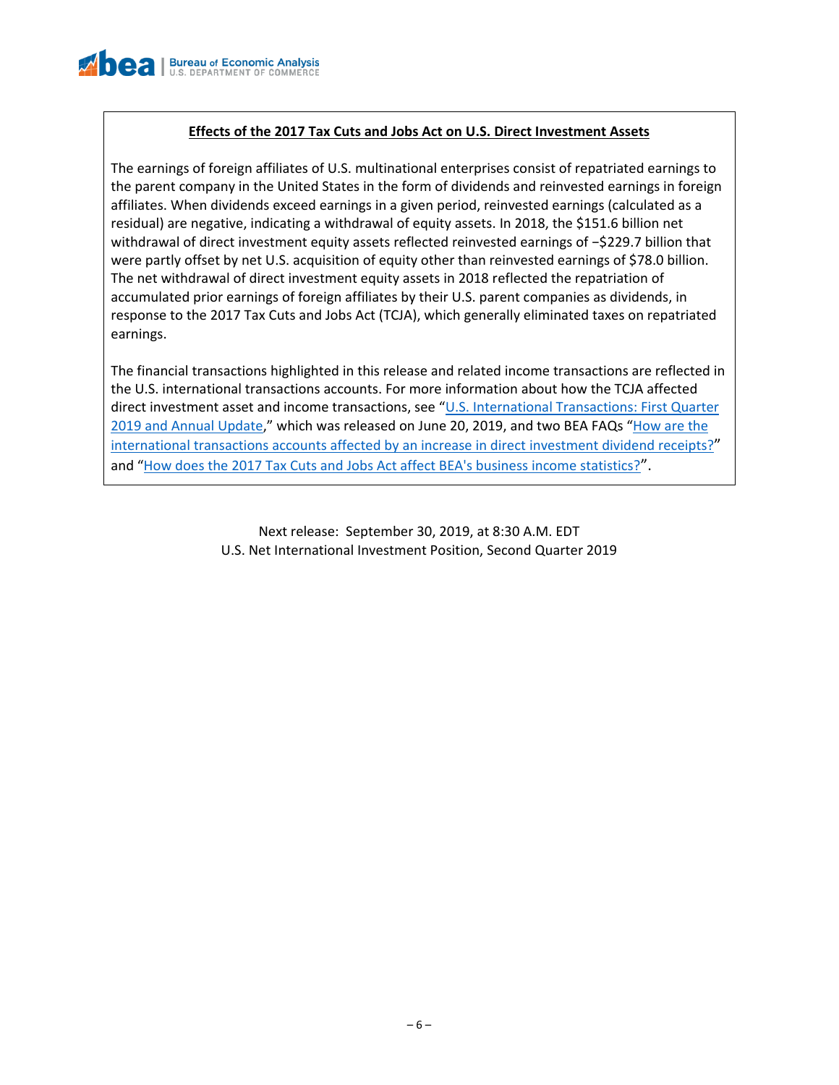

# **Effects of the 2017 Tax Cuts and Jobs Act on U.S. Direct Investment Assets**

<span id="page-5-0"></span>The earnings of foreign affiliates of U.S. multinational enterprises consist of repatriated earnings to the parent company in the United States in the form of dividends and reinvested earnings in foreign affiliates. When dividends exceed earnings in a given period, reinvested earnings (calculated as a residual) are negative, indicating a withdrawal of equity assets. In 2018, the \$151.6 billion net withdrawal of direct investment equity assets reflected reinvested earnings of −\$229.7 billion that were partly offset by net U.S. acquisition of equity other than reinvested earnings of \$78.0 billion. The net withdrawal of direct investment equity assets in 2018 reflected the repatriation of accumulated prior earnings of foreign affiliates by their U.S. parent companies as dividends, in response to the 2017 Tax Cuts and Jobs Act (TCJA), which generally eliminated taxes on repatriated earnings.

The financial transactions highlighted in this release and related income transactions are reflected in the U.S. international transactions accounts. For more information about how the TCJA affected direct investment asset and income transactions, see "[U.S. International Transactions: First Quarter](https://www.bea.gov/news/2019/us-international-transactions-first-quarter-2019-and-annual-update)  [2019 and Annual Update](https://www.bea.gov/news/2019/us-international-transactions-first-quarter-2019-and-annual-update)," which was released on June 20, 2019, and two BEA FAQs "[How are the](https://www.bea.gov/help/faq/166)  [international transactions accounts affected by an increase in direct investment dividend receipts?](https://www.bea.gov/help/faq/166)" and "[How does the 2017 Tax Cuts and Jobs Act affect BEA's business income statistics?](https://www.bea.gov/help/faq/1293)".

> Next release: September 30, 2019, at 8:30 A.M. EDT U.S. Net International Investment Position, Second Quarter 2019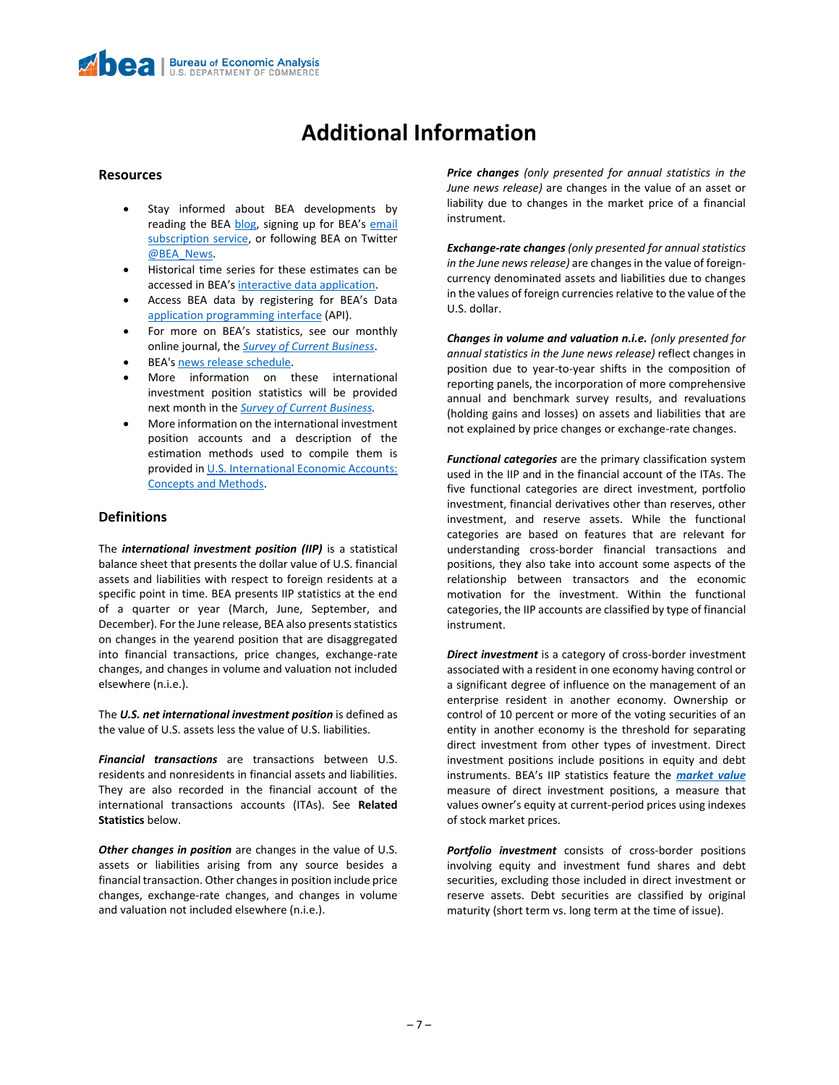# **Additional Information**

#### **Resources**

- Stay informed about BEA developments by reading the BEA [blog](https://www.bea.gov/news/blog), signing up for BEA's email [subscription service,](https://www.bea.gov/_subscribe/) or following BEA on Twitter [@BEA\\_News.](https://www.twitter.com/BEA_News)
- Historical time series for these estimates can be accessed in BEA's [interactive data application.](https://apps.bea.gov/iTable/index_ita.cfm)
- Access BEA data by registering for BEA's Data [application programming interface](https://apps.bea.gov/API/signup/index.cfm) (API).
- For more on BEA's statistics, see our monthly online journal, the *[Survey of Current Business](https://apps.bea.gov/scb/index.htm)*.
- BEA'[s news release schedule.](https://www.bea.gov/news/schedule)
- More information on these international investment position statistics will be provided next month in the *[Survey of Current Business.](https://apps.bea.gov/scb/index.htm)*
- More information on the international investment position accounts and a description of the estimation methods used to compile them is provided i[n U.S. International Economic Accounts:](https://www.bea.gov/resources/methodologies/us-international-economic-accounts-concepts-methods)  [Concepts and Methods.](https://www.bea.gov/resources/methodologies/us-international-economic-accounts-concepts-methods)

#### **Definitions**

The *international investment position (IIP)* is a statistical balance sheet that presents the dollar value of U.S. financial assets and liabilities with respect to foreign residents at a specific point in time. BEA presents IIP statistics at the end of a quarter or year (March, June, September, and December). For the June release, BEA also presents statistics on changes in the yearend position that are disaggregated into financial transactions, price changes, exchange-rate changes, and changes in volume and valuation not included elsewhere (n.i.e.).

The *U.S. net international investment position* is defined as the value of U.S. assets less the value of U.S. liabilities.

*Financial transactions* are transactions between U.S. residents and nonresidents in financial assets and liabilities. They are also recorded in the financial account of the international transactions accounts (ITAs). See **Related Statistics** below.

*Other changes in position* are changes in the value of U.S. assets or liabilities arising from any source besides a financial transaction. Other changes in position include price changes, exchange-rate changes, and changes in volume and valuation not included elsewhere (n.i.e.).

*Price changes (only presented for annual statistics in the June news release)* are changes in the value of an asset or liability due to changes in the market price of a financial instrument.

*Exchange-rate changes (only presented for annual statistics in the June news release)* are changes in the value of foreigncurrency denominated assets and liabilities due to changes in the values of foreign currencies relative to the value of the U.S. dollar.

*Changes in volume and valuation n.i.e. (only presented for annual statistics in the June news release)* reflect changes in position due to year-to-year shifts in the composition of reporting panels, the incorporation of more comprehensive annual and benchmark survey results, and revaluations (holding gains and losses) on assets and liabilities that are not explained by price changes or exchange-rate changes.

*Functional categories* are the primary classification system used in the IIP and in the financial account of the ITAs. The five functional categories are direct investment, portfolio investment, financial derivatives other than reserves, other investment, and reserve assets. While the functional categories are based on features that are relevant for understanding cross-border financial transactions and positions, they also take into account some aspects of the relationship between transactors and the economic motivation for the investment. Within the functional categories, the IIP accounts are classified by type of financial instrument.

*Direct investment* is a category of cross-border investment associated with a resident in one economy having control or a significant degree of influence on the management of an enterprise resident in another economy. Ownership or control of 10 percent or more of the voting securities of an entity in another economy is the threshold for separating direct investment from other types of investment. Direct investment positions include positions in equity and debt instruments. BEA's IIP statistics feature the *[market value](https://apps.bea.gov/international/pdf/market_value.pdf)* measure of direct investment positions, a measure that values owner's equity at current-period prices using indexes of stock market prices.

*Portfolio investment* consists of cross-border positions involving equity and investment fund shares and debt securities, excluding those included in direct investment or reserve assets. Debt securities are classified by original maturity (short term vs. long term at the time of issue).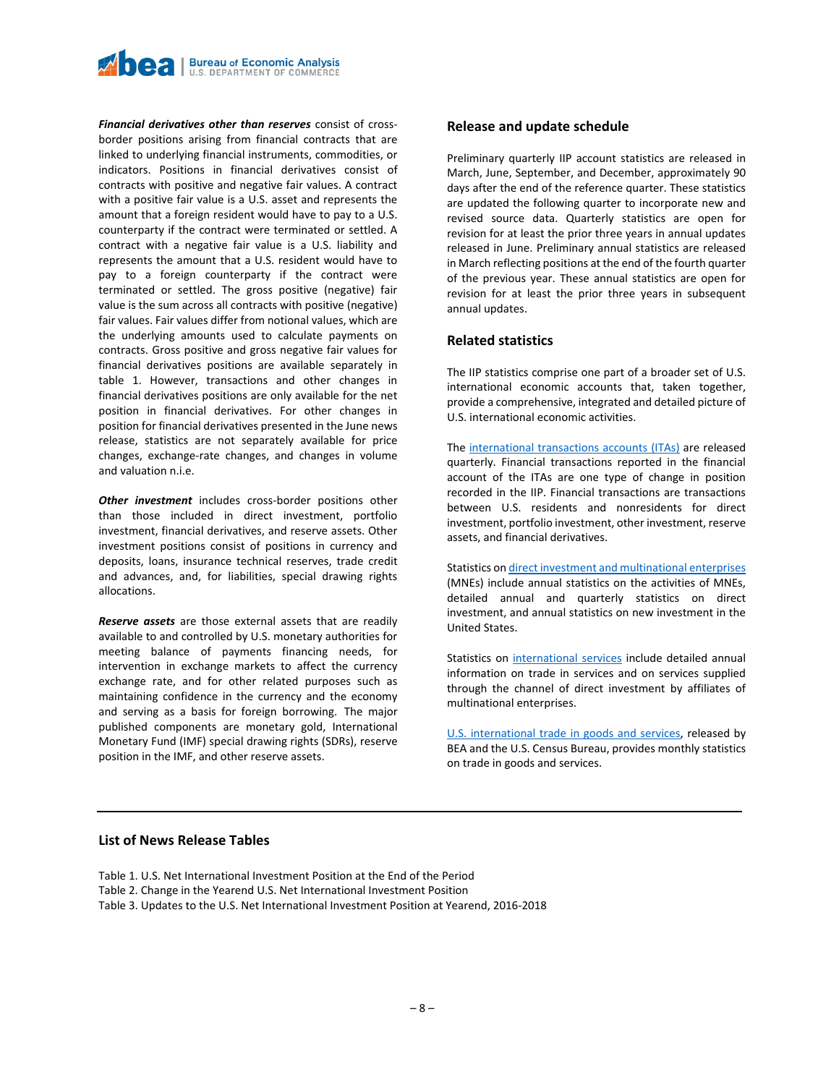

*Financial derivatives other than reserves* consist of crossborder positions arising from financial contracts that are linked to underlying financial instruments, commodities, or indicators. Positions in financial derivatives consist of contracts with positive and negative fair values. A contract with a positive fair value is a U.S. asset and represents the amount that a foreign resident would have to pay to a U.S. counterparty if the contract were terminated or settled. A contract with a negative fair value is a U.S. liability and represents the amount that a U.S. resident would have to pay to a foreign counterparty if the contract were terminated or settled. The gross positive (negative) fair value is the sum across all contracts with positive (negative) fair values. Fair values differ from notional values, which are the underlying amounts used to calculate payments on contracts. Gross positive and gross negative fair values for financial derivatives positions are available separately in table 1. However, transactions and other changes in financial derivatives positions are only available for the net position in financial derivatives. For other changes in position for financial derivatives presented in the June news release, statistics are not separately available for price changes, exchange-rate changes, and changes in volume and valuation n.i.e.

*Other investment* includes cross-border positions other than those included in direct investment, portfolio investment, financial derivatives, and reserve assets. Other investment positions consist of positions in currency and deposits, loans, insurance technical reserves, trade credit and advances, and, for liabilities, special drawing rights allocations.

*Reserve assets* are those external assets that are readily available to and controlled by U.S. monetary authorities for meeting balance of payments financing needs, for intervention in exchange markets to affect the currency exchange rate, and for other related purposes such as maintaining confidence in the currency and the economy and serving as a basis for foreign borrowing. The major published components are monetary gold, International Monetary Fund (IMF) special drawing rights (SDRs), reserve position in the IMF, and other reserve assets.

#### **Release and update schedule**

Preliminary quarterly IIP account statistics are released in March, June, September, and December, approximately 90 days after the end of the reference quarter. These statistics are updated the following quarter to incorporate new and revised source data. Quarterly statistics are open for revision for at least the prior three years in annual updates released in June. Preliminary annual statistics are released in March reflecting positions at the end of the fourth quarter of the previous year. These annual statistics are open for revision for at least the prior three years in subsequent annual updates.

#### **Related statistics**

The IIP statistics comprise one part of a broader set of U.S. international economic accounts that, taken together, provide a comprehensive, integrated and detailed picture of U.S. international economic activities.

The [international transactions accounts](https://www.bea.gov/data/intl-trade-investment/international-transactions) (ITAs) are released quarterly. Financial transactions reported in the financial account of the ITAs are one type of change in position recorded in the IIP. Financial transactions are transactions between U.S. residents and nonresidents for direct investment, portfolio investment, other investment, reserve assets, and financial derivatives.

Statistics o[n direct investment and multinational enterprises](https://apps.bea.gov/iTable/index_MNC.cfm) (MNEs) include annual statistics on the activities of MNEs, detailed annual and quarterly statistics on direct investment, and annual statistics on new investment in the United States.

Statistics on [international services](https://www.bea.gov/data/intl-trade-investment/international-services-expanded) include detailed annual information on trade in services and on services supplied through the channel of direct investment by affiliates of multinational enterprises.

[U.S. international trade in goods and services,](https://www.bea.gov/data/intl-trade-investment/international-trade-goods-and-services) released by BEA and the U.S. Census Bureau, provides monthly statistics on trade in goods and services.

#### **List of News Release Tables**

Table 1. U.S. Net International Investment Position at the End of the Period Table 2. Change in the Yearend U.S. Net International Investment Position Table 3. Updates to the U.S. Net International Investment Position at Yearend, 2016-2018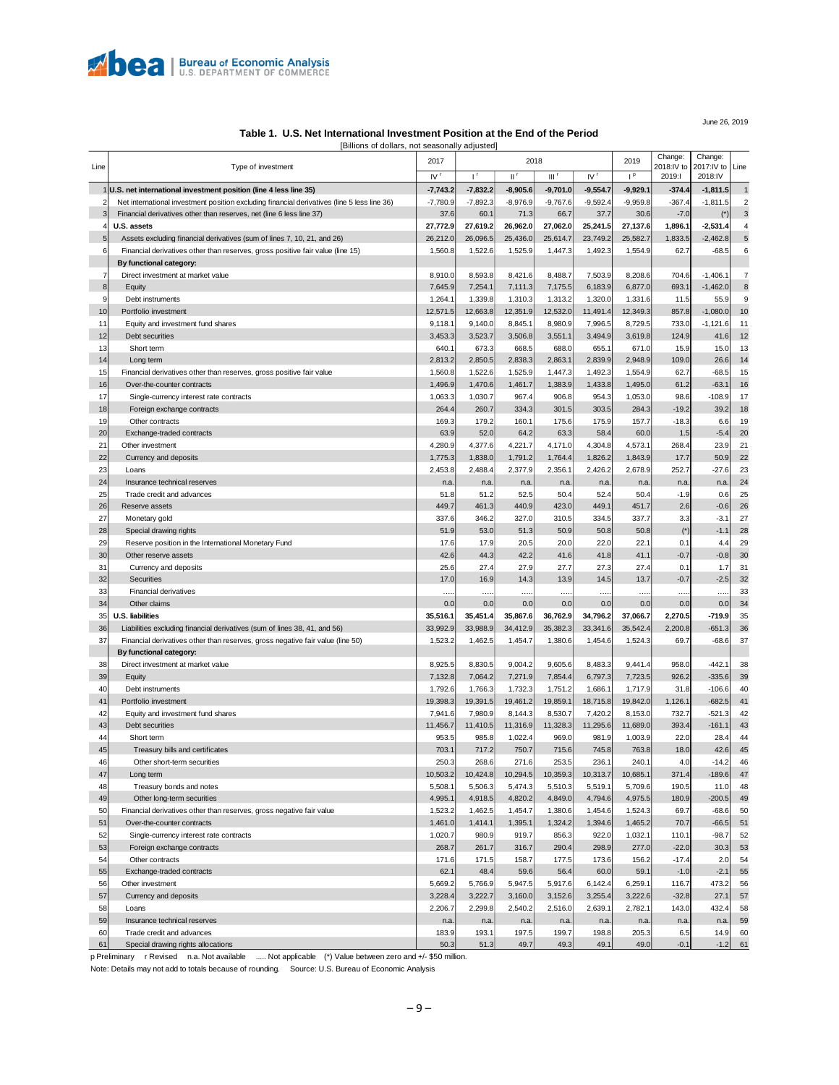

June 26, 2019

#### **Table 1. U.S. Net International Investment Position at the End of the Period**

|      | [Billions of dollars, not seasonally adjusted]                                              |            |                           |                           |            |                               |                           |                       |            |                           |
|------|---------------------------------------------------------------------------------------------|------------|---------------------------|---------------------------|------------|-------------------------------|---------------------------|-----------------------|------------|---------------------------|
|      |                                                                                             | 2017       |                           | 2018                      |            | Change:<br>2019               |                           | Change:<br>2017:IV to |            |                           |
| Line | Type of investment                                                                          | $N^r$      | $\mathbf{I}^{\mathbf{r}}$ | $\mathbb{H}^{\mathbb{Z}}$ | Шſ         | $\mathsf{IV}$ $^{\mathsf{r}}$ | $\mathsf{I}^{\mathsf{p}}$ | 2018:IV to<br>2019:1  | 2018:IV    | Line                      |
| 1    | U.S. net international investment position (line 4 less line 35)                            | $-7,743.2$ | $-7,832.2$                | $-8,905.6$                | $-9,701.0$ | $-9,554.7$                    | $-9,929.1$                | $-374.4$              | $-1,811.5$ | $\mathbf 1$               |
| 2    | Net international investment position excluding financial derivatives (line 5 less line 36) | $-7,780.9$ | $-7,892.3$                | $-8,976.9$                | $-9,767.6$ | $-9,592.4$                    | $-9,959.8$                | $-367.4$              | $-1,811.5$ | $\overline{\mathbf{c}}$   |
| 3    | Financial derivatives other than reserves, net (line 6 less line 37)                        | 37.6       | 60.1                      | 71.3                      | 66.7       | 37.7                          | 30.6                      | $-7.0$                | $(*)$      | $\ensuremath{\mathsf{3}}$ |
| ź    | U.S. assets                                                                                 | 27,772.9   | 27,619.2                  | 26,962.0                  | 27,062.0   | 25,241.5                      | 27,137.6                  | 1,896.1               | $-2,531.4$ | $\overline{\mathbf{4}}$   |
| 5    | Assets excluding financial derivatives (sum of lines 7, 10, 21, and 26)                     | 26,212.0   | 26,096.5                  | 25,436.0                  | 25,614.7   | 23,749.2                      | 25,582.7                  | 1,833.5               | $-2,462.8$ | $\overline{5}$            |
| 6    | Financial derivatives other than reserves, gross positive fair value (line 15)              | 1,560.8    | 1,522.6                   | 1,525.9                   | 1,447.3    | 1,492.3                       | 1,554.9                   | 62.7                  | $-68.5$    | 6                         |
|      | By functional category:                                                                     |            |                           |                           |            |                               |                           |                       |            |                           |
| 7    | Direct investment at market value                                                           | 8,910.0    | 8,593.8                   | 8,421.6                   | 8,488.7    | 7,503.9                       | 8,208.6                   | 704.6                 | $-1,406.1$ | $\overline{7}$            |
| 8    | Equity                                                                                      | 7,645.9    | 7,254.1                   | 7,111.3                   | 7,175.5    | 6,183.9                       | 6,877.0                   | 693.1                 | $-1.462.0$ | $\bf 8$                   |
| 9    | Debt instruments                                                                            | 1,264.1    | 1,339.8                   | 1,310.3                   | 1,313.2    | 1,320.0                       | 1,331.6                   | 11.5                  | 55.9       | 9                         |
| 10   | Portfolio investment                                                                        | 12,571.5   | 12,663.8                  | 12,351.9                  | 12,532.0   | 11,491.4                      | 12,349.3                  | 857.8                 | $-1,080.0$ | 10                        |
| 11   | Equity and investment fund shares                                                           | 9,118.1    | 9,140.0                   | 8,845.1                   | 8,980.9    | 7,996.5                       | 8,729.5                   | 733.0                 | $-1,121.6$ | 11                        |
| 12   | Debt securities                                                                             | 3,453.3    | 3,523.7                   | 3,506.8                   | 3,551.1    | 3,494.9                       | 3,619.8                   | 124.9                 | 41.6       | 12                        |
| 13   | Short term                                                                                  | 640.1      | 673.3                     | 668.5                     | 688.0      | 655.1                         | 671.0                     | 15.9                  | 15.0       | 13                        |
| 14   | Long term                                                                                   | 2,813.2    | 2,850.5                   | 2,838.3                   | 2,863.1    | 2,839.9                       | 2,948.9                   | 109.0                 | 26.6       | 14                        |
| 15   | Financial derivatives other than reserves, gross positive fair value                        | 1,560.8    | 1,522.6                   | 1,525.9                   | 1,447.3    | 1,492.3                       | 1,554.9                   | 62.7                  | $-68.5$    | 15                        |
| 16   | Over-the-counter contracts                                                                  | 1,496.9    | 1,470.6                   | 1,461.7                   | 1,383.9    | 1,433.8                       | 1,495.0                   | 61.2                  | $-63.1$    | 16                        |
| 17   |                                                                                             | 1,063.3    | 1,030.7                   | 967.4                     | 906.8      | 954.3                         |                           | 98.6                  | $-108.9$   | 17                        |
|      | Single-currency interest rate contracts                                                     |            |                           |                           |            |                               | 1,053.0                   |                       |            |                           |
| 18   | Foreign exchange contracts                                                                  | 264.4      | 260.7                     | 334.3                     | 301.5      | 303.5                         | 284.3                     | $-19.2$               | 39.2       | 18                        |
| 19   | Other contracts                                                                             | 169.3      | 179.2                     | 160.1                     | 175.6      | 175.9                         | 157.7                     | $-18.3$               | 6.6        | 19                        |
| 20   | Exchange-traded contracts                                                                   | 63.9       | 52.0                      | 64.2                      | 63.3       | 58.4                          | 60.0                      | 1.5                   | $-5.4$     | 20                        |
| 21   | Other investment                                                                            | 4,280.9    | 4,377.6                   | 4,221.7                   | 4,171.0    | 4,304.8                       | 4,573.1                   | 268.4                 | 23.9       | 21                        |
| 22   | Currency and deposits                                                                       | 1,775.3    | 1,838.0                   | 1,791.2                   | 1,764.4    | 1,826.2                       | 1,843.9                   | 17.7                  | 50.9       | 22                        |
| 23   | Loans                                                                                       | 2,453.8    | 2,488.4                   | 2,377.9                   | 2,356.1    | 2,426.2                       | 2,678.9                   | 252.7                 | $-27.6$    | 23                        |
| 24   | Insurance technical reserves                                                                | n.a.       | n.a                       | n.a                       | n.a.       | n.a                           | n.a.                      | n.a                   | n.a.       | 24                        |
| 25   | Trade credit and advances                                                                   | 51.8       | 51.2                      | 52.5                      | 50.4       | 52.4                          | 50.4                      | $-1.9$                | 0.6        | 25                        |
| 26   | Reserve assets                                                                              | 449.7      | 461.3                     | 440.9                     | 423.0      | 449.1                         | 451.7                     | 2.6                   | $-0.6$     | 26                        |
| 27   | Monetary gold                                                                               | 337.6      | 346.2                     | 327.0                     | 310.5      | 334.5                         | 337.7                     | 3.3                   | $-3.1$     | 27                        |
| 28   | Special drawing rights                                                                      | 51.9       | 53.0                      | 51.3                      | 50.9       | 50.8                          | 50.8                      | $(*)$                 | $-1.1$     | 28                        |
| 29   | Reserve position in the International Monetary Fund                                         | 17.6       | 17.9                      | 20.5                      | 20.0       | 22.0                          | 22.1                      | 0.1                   | 4.4        | 29                        |
| 30   | Other reserve assets                                                                        | 42.6       | 44.3                      | 42.2                      | 41.6       | 41.8                          | 41.1                      | $-0.7$                | $-0.8$     | 30                        |
| 31   | Currency and deposits                                                                       | 25.6       | 27.4                      | 27.9                      | 27.7       | 27.3                          | 27.4                      | 0.1                   | 1.7        | 31                        |
| 32   | Securities                                                                                  | 17.0       | 16.9                      | 14.3                      | 13.9       | 14.5                          | 13.7                      | $-0.7$                | $-2.5$     | 32                        |
| 33   | <b>Financial derivatives</b>                                                                | .          | .                         | .                         | .          | .                             | .                         | .                     | $\cdots$   | 33                        |
| 34   | Other claims                                                                                | 0.0        | 0.0                       | 0.0                       | 0.0        | 0.0                           | 0.0                       | 0.0                   | 0.0        | 34                        |
| 35   | U.S. liabilities                                                                            | 35,516.1   | 35,451.4                  | 35,867.6                  | 36,762.9   | 34,796.2                      | 37,066.7                  | 2,270.5               | $-719.9$   | 35                        |
| 36   | Liabilities excluding financial derivatives (sum of lines 38, 41, and 56)                   | 33,992.9   | 33,988.9                  | 34,412.9                  | 35,382.3   | 33,341.6                      | 35,542.4                  | 2,200.8               | $-651.3$   | 36                        |
| 37   | Financial derivatives other than reserves, gross negative fair value (line 50)              | 1,523.2    | 1,462.5                   | 1,454.7                   | 1,380.6    | 1,454.6                       | 1,524.3                   | 69.7                  | $-68.6$    | 37                        |
|      | By functional category:                                                                     |            |                           |                           |            |                               |                           |                       |            |                           |
| 38   | Direct investment at market value                                                           | 8,925.5    | 8,830.5                   | 9,004.2                   | 9,605.6    | 8,483.3                       | 9,441.4                   | 958.0                 | $-442.1$   | 38                        |
| 39   | Equity                                                                                      | 7,132.8    | 7,064.2                   | 7,271.9                   | 7,854.4    | 6,797.3                       | 7,723.5                   | 926.2                 | $-335.6$   | 39                        |
| 40   | Debt instruments                                                                            | 1,792.6    | 1,766.3                   | 1,732.3                   | 1,751.2    | 1,686.1                       | 1,717.9                   | 31.8                  | $-106.6$   | 40                        |
| 41   | Portfolio investment                                                                        | 19,398.3   | 19,391.5                  | 19,461.2                  | 19,859.1   | 18,715.8                      | 19,842.0                  | 1,126.1               | $-682.5$   | 41                        |
| 42   | Equity and investment fund shares                                                           | 7,941.6    | 7,980.9                   | 8,144.3                   | 8,530.7    | 7,420.2                       | 8,153.0                   | 732.7                 | $-521.3$   | 42                        |
| 43   | Debt securities                                                                             | 11,456.7   | 11,410.5                  | 11,316.9                  | 11,328.3   | 11,295.6                      | 11,689.0                  | 393.4                 | $-161.1$   | 43                        |
| 44   | Short term                                                                                  | 953.5      | 985.8                     | 1,022.4                   | 969.0      | 981.9                         | 1,003.9                   | 22.0                  | 28.4       | 44                        |
| 45   | Treasury bills and certificates                                                             | 703.1      | 717.2                     | 750.7                     | 715.6      | 745.8                         | 763.8                     | 18.0                  | 42.6       | 45                        |
| 46   | Other short-term securities                                                                 | 250.3      | 268.6                     | 271.6                     | 253.5      | 236.1                         | 240.1                     | 4.0                   | $-14.2$    | 46                        |
| 47   | Long term                                                                                   | 10,503.2   | 10,424.8                  | 10,294.5                  | 10,359.3   | 10,313.7                      | 10,685.1                  | 371.4                 | $-189.6$   | 47                        |
| 48   | Treasury bonds and notes                                                                    | 5,508.1    | 5,506.3                   | 5,474.3                   | 5,510.3    | 5,519.1                       | 5,709.6                   | 190.5                 | 11.0       | 48                        |
| 49   | Other long-term securities                                                                  | 4,995.1    | 4,918.5                   | 4,820.2                   | 4,849.0    | 4,794.6                       | 4,975.5                   | 180.9                 | $-200.5$   | 49                        |
| 50   | Financial derivatives other than reserves, gross negative fair value                        | 1,523.2    | 1,462.5                   | 1,454.7                   | 1,380.6    | 1,454.6                       | 1,524.3                   | 69.7                  | $-68.6$    | 50                        |
| 51   | Over-the-counter contracts                                                                  | 1,461.0    | 1,414.1                   | 1,395.1                   | 1,324.2    | 1,394.6                       | 1,465.2                   | 70.7                  | $-66.5$    | $51$                      |
| 52   | Single-currency interest rate contracts                                                     | 1,020.7    | 980.9                     | 919.7                     | 856.3      | 922.0                         | 1,032.1                   | 110.1                 | $-98.7$    | 52                        |
| 53   | Foreign exchange contracts                                                                  | 268.7      | 261.7                     | 316.7                     | 290.4      | 298.9                         | 277.0                     | $-22.0$               | 30.3       | 53                        |
| 54   | Other contracts                                                                             | 171.6      | 171.5                     | 158.7                     | 177.5      | 173.6                         | 156.2                     | $-17.4$               | 2.0        | 54                        |
| 55   | Exchange-traded contracts                                                                   | 62.1       | 48.4                      | 59.6                      | 56.4       | 60.0                          | 59.1                      | $-1.0$                | $-2.1$     | 55                        |
| 56   | Other investment                                                                            | 5,669.2    | 5,766.9                   | 5,947.5                   | 5,917.6    | 6,142.4                       | 6,259.1                   | 116.7                 | 473.2      | 56                        |
| 57   | Currency and deposits                                                                       | 3,228.4    | 3,222.7                   | 3,160.0                   | 3,152.6    | 3,255.4                       | 3,222.6                   | $-32.8$               | 27.1       | 57                        |
| 58   | Loans                                                                                       | 2,206.7    | 2,299.8                   | 2,540.2                   | 2,516.0    | 2,639.1                       | 2,782.1                   | 143.0                 | 432.4      | 58                        |
| 59   | Insurance technical reserves                                                                | n.a.       | n.a.                      | n.a.                      | n.a.       | n.a.                          | n.a.                      | n.a.                  | n.a.       | 59                        |
| 60   | Trade credit and advances                                                                   | 183.9      | 193.1                     | 197.5                     | 199.7      | 198.8                         | 205.3                     | 6.5                   | 14.9       | 60                        |
| 61   | Special drawing rights allocations                                                          | 50.3       | 51.3                      | 49.7                      | 49.3       | 49.1                          | 49.0                      | $-0.1$                | $-1.2$     | 61                        |

p Preliminary r Revised n.a. Not available ..... Not applicable (\*) Value between zero and +/- \$50 million.

Note: Details may not add to totals because of rounding. Source: U.S. Bureau of Economic Analysis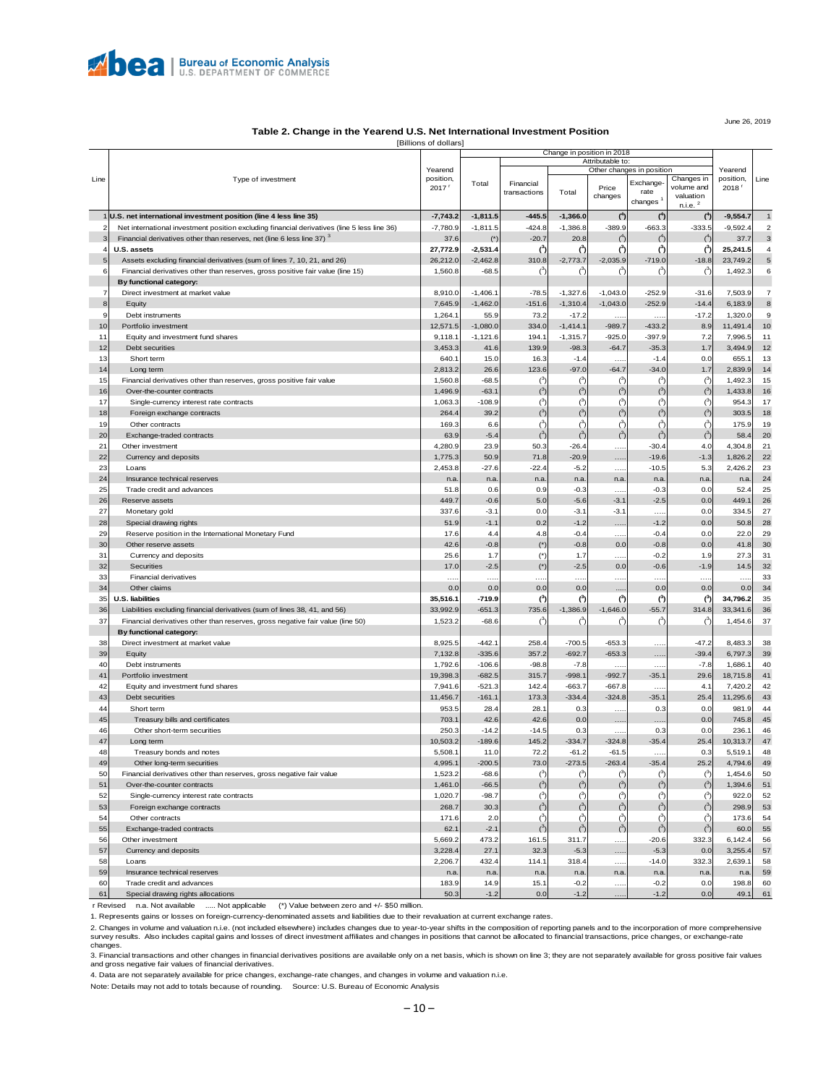

#### **Table 2. Change in the Yearend U.S. Net International Investment Position**

June 26, 2019

| Table 2. Change in the Teareng O.S. Net international investment Fosition |  |
|---------------------------------------------------------------------------|--|
| <b>IRillions of dollars1</b>                                              |  |

|                |                                                                                             |                      | Change in position in 2018<br>Attributable to: |                |                     |                |                           |                       |            |                         |
|----------------|---------------------------------------------------------------------------------------------|----------------------|------------------------------------------------|----------------|---------------------|----------------|---------------------------|-----------------------|------------|-------------------------|
|                |                                                                                             | Yearend<br>position, | Total                                          |                |                     |                | Other changes in position |                       | Yearend    |                         |
| Line           | Type of investment                                                                          |                      |                                                |                |                     |                |                           | Changes in            | position,  | Line                    |
|                |                                                                                             | 2017'                |                                                | Financial      |                     | Price          | Exchange-                 | volume and            | 2018'      |                         |
|                |                                                                                             |                      |                                                | transactions   | Total               | changes        | rate                      | valuation             |            |                         |
|                |                                                                                             |                      |                                                |                |                     |                | changes <sup>1</sup>      | $n.i.e.$ <sup>2</sup> |            |                         |
|                | U.S. net international investment position (line 4 less line 35)                            | $-7,743.2$           | $-1,811.5$                                     | $-445.5$       | $-1,366.0$          | (2)            | $4$                       | $4$                   | $-9.554.7$ | $\mathbf{1}$            |
|                |                                                                                             |                      |                                                |                |                     |                |                           |                       |            |                         |
| 2              | Net international investment position excluding financial derivatives (line 5 less line 36) | $-7,780.9$           | $-1,811.5$                                     | $-424.8$       | $-1,386.8$          | $-389.9$       | $-663.3$                  | $-333.5$              | $-9,592.4$ | $\overline{\mathbf{c}}$ |
| 3              | Financial derivatives other than reserves, net (line 6 less line 37) <sup>3</sup>           | 37.6                 | $(\check{ } )$                                 | $-20.7$        | 20.8                | $(^4)$         | $(^{4})$                  | $4$                   | 37.7       | $\mathsf 3$             |
|                | U.S. assets                                                                                 | 27,772.9             | $-2,531.4$                                     | (3)            | (3)                 | (3)            | (3)                       | (3)                   | 25,241.5   | 4                       |
| -5             | Assets excluding financial derivatives (sum of lines 7, 10, 21, and 26)                     | 26,212.0             | $-2,462.8$                                     | 310.8          | $-2,773.7$          | $-2,035.9$     | $-719.0$                  | $-18.8$               | 23,749.2   | $\sqrt{5}$              |
| 6              | Financial derivatives other than reserves, gross positive fair value (line 15)              | 1,560.8              | $-68.5$                                        | $(^3)$         | $^{\left(3\right)}$ | $(^3)$         | $(^3)$                    | $(^3)$                | 1,492.3    | 6                       |
|                | By functional category:                                                                     |                      |                                                |                |                     |                |                           |                       |            |                         |
| $\overline{7}$ | Direct investment at market value                                                           | 8,910.0              | $-1,406.$                                      | $-78.5$        | $-1,327.6$          | $-1,043.0$     | $-252.9$                  | $-31.6$               | 7,503.9    | $\overline{7}$          |
|                |                                                                                             |                      |                                                |                |                     |                |                           |                       |            |                         |
| 8              | Equity                                                                                      | 7,645.9              | $-1,462.0$                                     | $-151.6$       | $-1,310.4$          | $-1,043.0$     | $-252.9$                  | $-14.4$               | 6,183.9    | 8                       |
| g              | Debt instruments                                                                            | 1,264.1              | 55.9                                           | 73.2           | $-17.2$             | $\cdots$       | .                         | $-17.2$               | 1,320.0    | 9                       |
| 10             | Portfolio investment                                                                        | 12,571.5             | $-1,080.0$                                     | 334.0          | $-1,414.1$          | $-989.7$       | $-433.2$                  | 8.9                   | 11,491.4   | 10                      |
| 11             | Equity and investment fund shares                                                           | 9,118.1              | $-1,121.6$                                     | 194.1          | $-1,315.7$          | $-925.0$       | $-397.9$                  | 7.2                   | 7,996.5    | 11                      |
| 12             | Debt securities                                                                             | 3,453.3              | 41.6                                           | 139.9          | $-98.3$             | $-64.7$        | $-35.3$                   | 1.7                   | 3,494.9    | 12                      |
| 13             | Short term                                                                                  | 640.1                | 15.0                                           | 16.3           | $-1.4$              |                | $-1.4$                    | 0.0                   | 655.1      | 13                      |
| 14             | Long term                                                                                   | 2,813.2              | 26.6                                           | 123.6          | $-97.0$             | $-64.7$        | $-34.0$                   | 1.7                   | 2,839.9    | 14                      |
| 15             | Financial derivatives other than reserves, gross positive fair value                        | 1,560.8              | $-68.5$                                        | $\binom{3}{ }$ | $^{\circ}$          | (3)            | (3)                       | $(^3)$                | 1,492.3    | 15                      |
| 16             | Over-the-counter contracts                                                                  | 1,496.9              | $-63.1$                                        | $(^3)$         | $(3)$               | (3)            | (3)                       | $(^3)$                | 1,433.8    | 16                      |
| 17             |                                                                                             | 1,063.3              | $-108.9$                                       | $(^3)$         | $(^3)$              |                | $(^3)$                    | $(^3)$                |            | 17                      |
|                | Single-currency interest rate contracts                                                     |                      |                                                |                |                     | (3)            |                           |                       | 954.3      |                         |
| 18             | Foreign exchange contracts                                                                  | 264.4                | 39.2                                           | $\binom{3}{ }$ | $\binom{3}{ }$      | $\binom{3}{ }$ | $\binom{3}{ }$            | $(^3)$                | 303.5      | - 18                    |
| 19             | Other contracts                                                                             | 169.3                | 6.6                                            | $\binom{3}{ }$ | $^{\circ}$          | $\binom{3}{ }$ | $\binom{3}{ }$            | $(^3)$                | 175.9      | 19                      |
| 20             | Exchange-traded contracts                                                                   | 63.9                 | $-5.4$                                         | $(^3)$         | $\binom{3}{ }$      | $(^3)$         | (3)                       | $(^3)$                | 58.4       | 20                      |
| 21             | Other investment                                                                            | 4,280.9              | 23.9                                           | 50.3           | $-26.4$             | .              | $-30.4$                   | 4.0                   | 4,304.8    | 21                      |
| 22             | Currency and deposits                                                                       | 1,775.3              | 50.9                                           | 71.8           | $-20.9$             | .              | $-19.6$                   | $-1.3$                | 1,826.2    | 22                      |
| 23             | Loans                                                                                       | 2,453.8              | $-27.6$                                        | $-22.4$        | $-5.2$              |                | $-10.5$                   | 5.3                   | 2,426.2    | 23                      |
| 24             | Insurance technical reserves                                                                | n.a.                 | n.a.                                           | n.a            | n.a.                | n.a            | n.a.                      | n.a.                  | n.a.       | 24                      |
| 25             | Trade credit and advances                                                                   | 51.8                 | 0.6                                            | 0.9            | $-0.3$              |                | $-0.3$                    | 0.0                   | 52.4       | 25                      |
| 26             | Reserve assets                                                                              | 449.7                | $-0.6$                                         | 5.0            | $-5.6$              | $-3.1$         | $-2.5$                    | 0.0                   | 449.1      | 26                      |
|                |                                                                                             |                      |                                                |                |                     |                |                           |                       |            |                         |
| 27             | Monetary gold                                                                               | 337.6                | $-3.1$                                         | 0.0            | $-3.1$              | $-3.1$         |                           | 0.0                   | 334.5      | 27                      |
| 28             | Special drawing rights                                                                      | 51.9                 | $-1.1$                                         | 0.2            | $-1.2$              | .              | $-1.2$                    | 0.0                   | 50.8       | 28                      |
| 29             | Reserve position in the International Monetary Fund                                         | 17.6                 | 4.4                                            | 4.8            | $-0.4$              | .              | $-0.4$                    | 0.0                   | 22.0       | 29                      |
| 30             | Other reserve assets                                                                        | 42.6                 | $-0.8$                                         | $($ *)         | $-0.8$              | 0.0            | $-0.8$                    | 0.0                   | 41.8       | 30                      |
| 31             | Currency and deposits                                                                       | 25.6                 | 1.7                                            | $($ *)         | 1.7                 | .              | $-0.2$                    | 1.9                   | 27.3       | 31                      |
| 32             | Securities                                                                                  | 17.0                 | $-2.5$                                         | $($ *)         | $-2.5$              | 0.0            | $-0.6$                    | $-1.9$                | 14.5       | 32                      |
| 33             | Financial derivatives                                                                       |                      |                                                |                |                     | .              |                           |                       |            | 33                      |
| 34             | Other claims                                                                                | 0.0                  | 0.0                                            | 0.0            | 0.0                 |                | 0.0                       | 0.0                   | 0.0        | 34                      |
| 35             | U.S. liabilities                                                                            | 35,516.1             | $-719.9$                                       | (3)            | (3)                 | (3)            | (3)                       | (3)                   | 34,796.2   | 35                      |
| 36             | Liabilities excluding financial derivatives (sum of lines 38, 41, and 56)                   | 33,992.9             | $-651.3$                                       | 735.6          | $-1,386.9$          | $-1,646.0$     | $-55.7$                   | 314.8                 | 33,341.6   | 36                      |
| 37             |                                                                                             |                      |                                                | $\binom{3}{ }$ | $\binom{3}{2}$      | $\binom{3}{ }$ | $\binom{3}{ }$            | $(^3)$                |            | 37                      |
|                | Financial derivatives other than reserves, gross negative fair value (line 50)              | 1,523.2              | $-68.6$                                        |                |                     |                |                           |                       | 1,454.6    |                         |
|                | By functional category:                                                                     |                      |                                                |                |                     |                |                           |                       |            |                         |
| 38             | Direct investment at market value                                                           | 8,925.5              | $-442.1$                                       | 258.4          | $-700.5$            | $-653.3$       | .                         | $-47.2$               | 8,483.3    | 38                      |
| 39             | Equity                                                                                      | 7,132.8              | $-335.6$                                       | 357.2          | $-692.7$            | $-653.3$       | .                         | $-39.4$               | 6,797.3    | 39                      |
| 40             | Debt instruments                                                                            | 1,792.6              | $-106.6$                                       | $-98.8$        | $-7.8$              |                | .                         | $-7.8$                | 1,686.1    | 40                      |
| 41             | Portfolio investment                                                                        | 19,398.3             | $-682.5$                                       | 315.7          | $-998.1$            | $-992.7$       | $-35.1$                   | 29.6                  | 18,715.8   | 41                      |
| 42             | Equity and investment fund shares                                                           | 7,941.6              | $-521.3$                                       | 142.4          | $-663.7$            | $-667.8$       |                           | 4.1                   | 7,420.2    | 42                      |
| 43             | Debt securities                                                                             | 11,456.7             | $-161.1$                                       | 173.3          | $-334.4$            | $-324.8$       | $-35.1$                   | 25.4                  | 11,295.6   | 43                      |
| 44             | Short term                                                                                  | 953.5                | 28.4                                           | 28.1           | 0.3                 |                | 0.3                       | 0.0                   | 981.9      | 44                      |
| 45             | Treasury bills and certificates                                                             | 703.1                | 42.6                                           | 42.6           | 0.0                 |                | .                         | 0.0                   | 745.8      | 45                      |
| 46             | Other short-term securities                                                                 | 250.3                | $-14.2$                                        | $-14.5$        | 0.3                 |                | 0.3                       | 0.0                   | 236.1      | 46                      |
| 47             | Long term                                                                                   | 10,503.2             | $-189.6$                                       | 145.2          | $-334.7$            | $-324.8$       | $-35.4$                   | 25.4                  | 10,313.7   | 47                      |
|                |                                                                                             |                      |                                                |                |                     |                |                           |                       |            |                         |
| 48             | Treasury bonds and notes                                                                    | 5,508.1              | 11.0                                           | 72.2           | $-61.2$             | $-61.5$        | .                         | 0.3                   | 5,519.1    | 48                      |
| 49             | Other long-term securities                                                                  | 4,995.1              | -200.5                                         | 73.0           | $-273.5$            | $-263.4$       | $-35.4$                   | 25.2                  | 4,794.6    | - 49                    |
| 50             | Financial derivatives other than reserves, gross negative fair value                        | 1,523.2              | $-68.6$                                        | $\binom{3}{ }$ | $^{\circ}$          | (3)            | $\binom{3}{ }$            | $\binom{3}{ }$        | 1,454.6    | 50                      |
| 51             | Over-the-counter contracts                                                                  | 1,461.0              | $-66.5$                                        | $\binom{3}{ }$ | $3$                 | $\binom{3}{ }$ | $\binom{3}{ }$            | $\binom{3}{ }$        | 1,394.6    | ${\bf 51}$              |
| 52             | Single-currency interest rate contracts                                                     | 1,020.7              | $-98.7$                                        | $(^3)$         | $3$                 | $(^3)$         | $(^3)$                    | $(^3)$                | 922.0      | 52                      |
| 53             | Foreign exchange contracts                                                                  | 268.7                | 30.3                                           | $\binom{3}{ }$ | $\binom{3}{ }$      | $\binom{3}{ }$ | $\binom{3}{ }$            | $\binom{3}{ }$        | 298.9      | 53                      |
| 54             | Other contracts                                                                             | 171.6                | 2.0                                            | $\binom{3}{ }$ | $\binom{3}{2}$      | $\binom{3}{ }$ | $\binom{3}{ }$            | $\binom{3}{ }$        | 173.6      | 54                      |
| 55             | Exchange-traded contracts                                                                   | 62.1                 | $-2.1$                                         | (3)            | $(^3)$              | $(^3)$         | $3$                       | $3$                   | 60.0       | 55                      |
| 56             | Other investment                                                                            | 5,669.2              | 473.2                                          | 161.5          | 311.7               | .              | $-20.6$                   | 332.3                 | 6,142.4    | 56                      |
| 57             | Currency and deposits                                                                       | 3,228.4              | 27.1                                           | 32.3           | $-5.3$              | .              | $-5.3$                    | 0.0                   | 3,255.4    | 57                      |
| 58             | Loans                                                                                       | 2,206.7              | 432.4                                          | 114.1          | 318.4               | .              | $-14.0$                   | 332.3                 | 2,639.1    | 58                      |
| 59             | Insurance technical reserves                                                                |                      | n.a.                                           |                | n.a.                | n.a.           |                           |                       |            | 59                      |
|                |                                                                                             | n.a.                 |                                                | n.a.           |                     |                | n.a.                      | n.a.                  | n.a.       |                         |
| 60             | Trade credit and advances<br>Special drawing rights allocation                              | 183.9<br>50 S        | 14.9                                           | 15.1<br>n r    | $-0.2$              |                | $-0.2$                    | 0.0                   | 198.8      | 60                      |

61 Special drawing rights allocations 50.3 -1.2 0.0 -1.2 ….. -1.2 0.0 49.1 61 r Revised n.a. Not available ..... Not applicable (\*) Value between zero and +/- \$50 million. 1. Represents gains or losses on foreign-currency-denominated assets and liabilities due to their revaluation at current exchange rates.

2. Changes in volume and valuation n.i.e. (not included elsewhere) includes changes due to year-to-year shifts in the composition of reporting panels and to the incorporation of more comprehensive<br>survey results. Also incl

changes.<br>3. Financial transactions and other changes in financial derivatives positions are available only on a net basis, which is shown on line 3; they are not separately available for gross positive fair values<br>and gros

4. Data are not separately available for price changes, exchange-rate changes, and changes in volume and valuation n.i.e.

Note: Details may not add to totals because of rounding. Source: U.S. Bureau of Economic Analysis